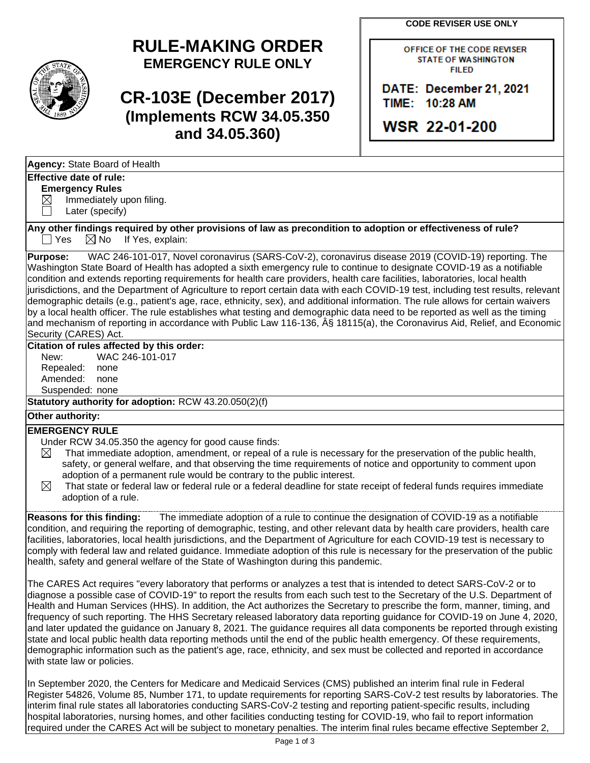**CODE REVISER USE ONLY**



# **RULE-MAKING ORDER EMERGENCY RULE ONLY**

**CR-103E (December 2017) (Implements RCW 34.05.350 and 34.05.360)**

OFFICE OF THE CODE REVISER **STATE OF WASHINGTON FILED** 

DATE: December 21, 2021 TIME: 10:28 AM

**WSR 22-01-200** 

| Agency: State Board of Health |  |
|-------------------------------|--|
|-------------------------------|--|

## **Effective date of rule:**

**Emergency Rules**  $\boxtimes$  Immediately upon filing.

Later (specify)

**Any other findings required by other provisions of law as precondition to adoption or effectiveness of rule?**  $\Box$  Yes  $\boxtimes$  No If Yes, explain:

**Purpose:** WAC 246-101-017, Novel coronavirus (SARS-CoV-2), coronavirus disease 2019 (COVID-19) reporting. The Washington State Board of Health has adopted a sixth emergency rule to continue to designate COVID-19 as a notifiable condition and extends reporting requirements for health care providers, health care facilities, laboratories, local health jurisdictions, and the Department of Agriculture to report certain data with each COVID-19 test, including test results, relevant demographic details (e.g., patient's age, race, ethnicity, sex), and additional information. The rule allows for certain waivers by a local health officer. The rule establishes what testing and demographic data need to be reported as well as the timing and mechanism of reporting in accordance with Public Law 116-136, § 18115(a), the Coronavirus Aid, Relief, and Economic Security (CARES) Act.

## **Citation of rules affected by this order:**

New: WAC 246-101-017 Repealed: none Amended: none Suspended: none

**Statutory authority for adoption:** RCW 43.20.050(2)(f)

# **Other authority:**

### **EMERGENCY RULE**

- Under RCW 34.05.350 the agency for good cause finds:
- $\boxtimes$  That immediate adoption, amendment, or repeal of a rule is necessary for the preservation of the public health, safety, or general welfare, and that observing the time requirements of notice and opportunity to comment upon adoption of a permanent rule would be contrary to the public interest.
- $\boxtimes$  That state or federal law or federal rule or a federal deadline for state receipt of federal funds requires immediate adoption of a rule.

**Reasons for this finding:** The immediate adoption of a rule to continue the designation of COVID-19 as a notifiable condition, and requiring the reporting of demographic, testing, and other relevant data by health care providers, health care facilities, laboratories, local health jurisdictions, and the Department of Agriculture for each COVID-19 test is necessary to comply with federal law and related guidance. Immediate adoption of this rule is necessary for the preservation of the public health, safety and general welfare of the State of Washington during this pandemic.

The CARES Act requires "every laboratory that performs or analyzes a test that is intended to detect SARS-CoV-2 or to diagnose a possible case of COVID-19" to report the results from each such test to the Secretary of the U.S. Department of Health and Human Services (HHS). In addition, the Act authorizes the Secretary to prescribe the form, manner, timing, and frequency of such reporting. The HHS Secretary released laboratory data reporting guidance for COVID-19 on June 4, 2020, and later updated the guidance on January 8, 2021. The guidance requires all data components be reported through existing state and local public health data reporting methods until the end of the public health emergency. Of these requirements, demographic information such as the patient's age, race, ethnicity, and sex must be collected and reported in accordance with state law or policies.

In September 2020, the Centers for Medicare and Medicaid Services (CMS) published an interim final rule in Federal Register 54826, Volume 85, Number 171, to update requirements for reporting SARS-CoV-2 test results by laboratories. The interim final rule states all laboratories conducting SARS-CoV-2 testing and reporting patient-specific results, including hospital laboratories, nursing homes, and other facilities conducting testing for COVID-19, who fail to report information required under the CARES Act will be subject to monetary penalties. The interim final rules became effective September 2,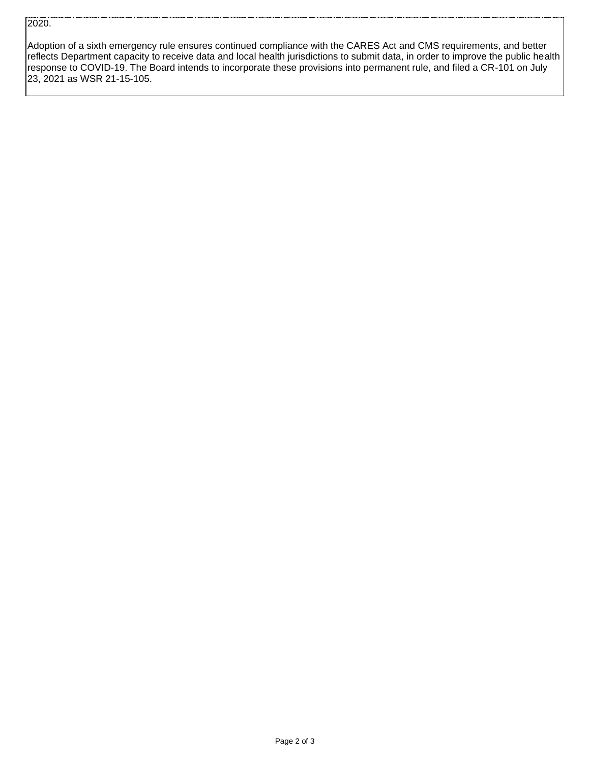### 2020.

Adoption of a sixth emergency rule ensures continued compliance with the CARES Act and CMS requirements, and better reflects Department capacity to receive data and local health jurisdictions to submit data, in order to improve the public health response to COVID-19. The Board intends to incorporate these provisions into permanent rule, and filed a CR-101 on July 23, 2021 as WSR 21-15-105.